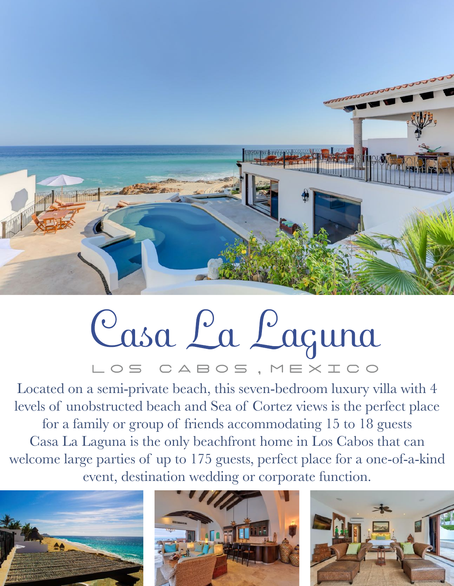

## Casa La Laguna LOS CABOS, MEXICO

Located on a semi-private beach, this seven-bedroom luxury villa with 4 levels of unobstructed beach and Sea of Cortez views is the perfect place for a family or group of friends accommodating 15 to 18 guests Casa La Laguna is the only beachfront home in Los Cabos that can welcome large parties of up to 175 guests, perfect place for a one-of-a-kind event, destination wedding or corporate function.